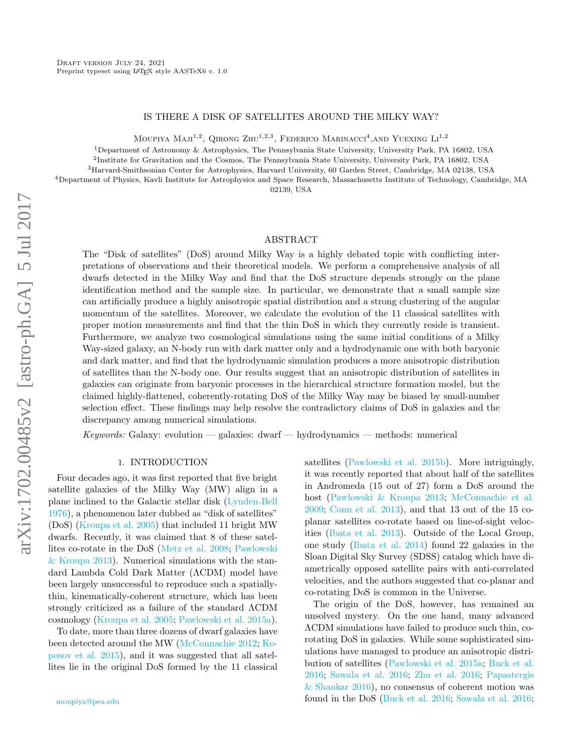### IS THERE A DISK OF SATELLITES AROUND THE MILKY WAY?

MOUPIYA MAJI<sup>1,2</sup>, QIRONG ZHU<sup>1,2,3</sup>, FEDERICO MARINACCI<sup>4</sup>. AND YUEXING  $\mathrm{Li}^{1,2}$ 

<sup>1</sup>Department of Astronomy & Astrophysics, The Pennsylvania State University, University Park, PA 16802, USA

<sup>2</sup>Institute for Gravitation and the Cosmos, The Pennsylvania State University, University Park, PA 16802, USA

<sup>3</sup>Harvard-Smithsonian Center for Astrophysics, Harvard University, 60 Garden Street, Cambridge, MA 02138, USA

<sup>4</sup>Department of Physics, Kavli Institute for Astrophysics and Space Research, Massachusetts Institute of Technology, Cambridge, MA 02139, USA

### ABSTRACT

The "Disk of satellites" (DoS) around Milky Way is a highly debated topic with conflicting interpretations of observations and their theoretical models. We perform a comprehensive analysis of all dwarfs detected in the Milky Way and find that the DoS structure depends strongly on the plane identification method and the sample size. In particular, we demonstrate that a small sample size can artificially produce a highly anisotropic spatial distribution and a strong clustering of the angular momentum of the satellites. Moreover, we calculate the evolution of the 11 classical satellites with proper motion measurements and find that the thin DoS in which they currently reside is transient. Furthermore, we analyze two cosmological simulations using the same initial conditions of a Milky Way-sized galaxy, an N-body run with dark matter only and a hydrodynamic one with both baryonic and dark matter, and find that the hydrodynamic simulation produces a more anisotropic distribution of satellites than the N-body one. Our results suggest that an anisotropic distribution of satellites in galaxies can originate from baryonic processes in the hierarchical structure formation model, but the claimed highly-flattened, coherently-rotating DoS of the Milky Way may be biased by small-number selection effect. These findings may help resolve the contradictory claims of DoS in galaxies and the discrepancy among numerical simulations.

 $Keywords:$  Galaxy: evolution — galaxies: dwarf — hydrodynamics — methods: numerical

### 1. INTRODUCTION

Four decades ago, it was first reported that five bright satellite galaxies of the Milky Way (MW) align in a plane inclined to the Galactic stellar disk [\(Lynden-Bell](#page-6-0) [1976\)](#page-6-0), a phenomenon later dubbed as "disk of satellites" (DoS) [\(Kroupa et al.](#page-6-1) [2005\)](#page-6-1) that included 11 bright MW dwarfs. Recently, it was claimed that 8 of these satellites co-rotate in the DoS [\(Metz et al.](#page-6-2) [2008;](#page-6-2) [Pawlowski](#page-6-3) [& Kroupa](#page-6-3) [2013\)](#page-6-3). Numerical simulations with the standard Lambda Cold Dark Matter (ΛCDM) model have been largely unsuccessful to reproduce such a spatiallythin, kinematically-coherent structure, which has been strongly criticized as a failure of the standard ΛCDM cosmology [\(Kroupa et al.](#page-6-1) [2005;](#page-6-1) [Pawlowski et al.](#page-6-4) [2015a\)](#page-6-4).

To date, more than three dozens of dwarf galaxies have been detected around the MW [\(McConnachie](#page-6-5) [2012;](#page-6-5) [Ko](#page-6-6)[posov et al.](#page-6-6) [2015\)](#page-6-6), and it was suggested that all satellites lie in the original DoS formed by the 11 classical satellites [\(Pawlowski et al.](#page-6-7) [2015b\)](#page-6-7). More intriguingly, it was recently reported that about half of the satellites in Andromeda (15 out of 27) form a DoS around the host [\(Pawlowski & Kroupa](#page-6-3) [2013;](#page-6-3) [McConnachie et al.](#page-6-8) [2009;](#page-6-8) [Conn et al.](#page-6-9) [2013\)](#page-6-9), and that 13 out of the 15 coplanar satellites co-rotate based on line-of-sight velocities [\(Ibata et al.](#page-6-10) [2013\)](#page-6-10). Outside of the Local Group, one study [\(Ibata et al.](#page-6-11) [2014\)](#page-6-11) found 22 galaxies in the Sloan Digital Sky Survey (SDSS) catalog which have diametrically opposed satellite pairs with anti-correlated velocities, and the authors suggested that co-planar and co-rotating DoS is common in the Universe.

The origin of the DoS, however, has remained an unsolved mystery. On the one hand, many advanced ΛCDM simulations have failed to produce such thin, corotating DoS in galaxies. While some sophisticated simulations have managed to produce an anisotropic distribution of satellites [\(Pawlowski et al.](#page-6-4) [2015a;](#page-6-4) [Buck et al.](#page-6-12) [2016;](#page-6-12) [Sawala et al.](#page-6-13) [2016;](#page-6-13) [Zhu et al.](#page-7-0) [2016;](#page-7-0) [Papastergis](#page-6-14) [& Shankar](#page-6-14) [2016\)](#page-6-14), no consensus of coherent motion was found in the DoS [\(Buck et al.](#page-6-12) [2016;](#page-6-12) [Sawala et al.](#page-6-13) [2016;](#page-6-13)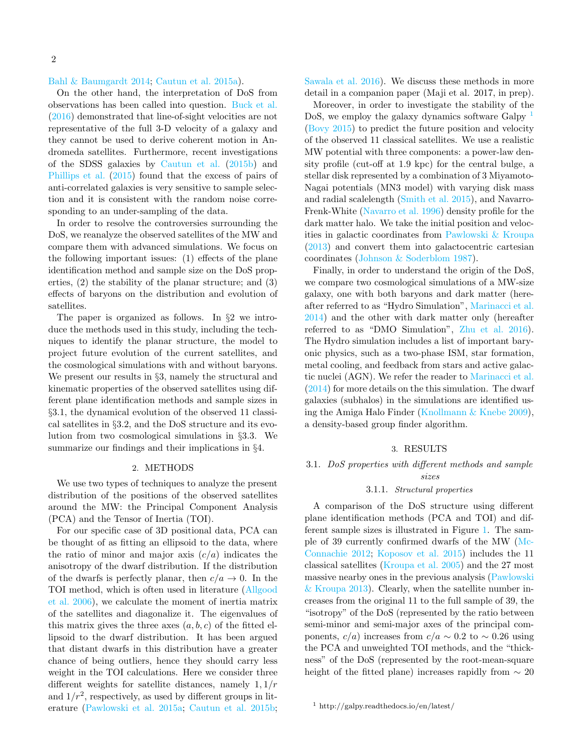### [Bahl & Baumgardt](#page-6-15) [2014;](#page-6-15) [Cautun et al.](#page-6-16) [2015a\)](#page-6-16).

On the other hand, the interpretation of DoS from observations has been called into question. [Buck et al.](#page-6-12) [\(2016\)](#page-6-12) demonstrated that line-of-sight velocities are not representative of the full 3-D velocity of a galaxy and they cannot be used to derive coherent motion in Andromeda satellites. Furthermore, recent investigations of the SDSS galaxies by [Cautun et al.](#page-6-17) [\(2015b\)](#page-6-17) and [Phillips et al.](#page-6-18) [\(2015\)](#page-6-18) found that the excess of pairs of anti-correlated galaxies is very sensitive to sample selection and it is consistent with the random noise corresponding to an under-sampling of the data.

In order to resolve the controversies surrounding the DoS, we reanalyze the observed satellites of the MW and compare them with advanced simulations. We focus on the following important issues: (1) effects of the plane identification method and sample size on the DoS properties, (2) the stability of the planar structure; and (3) effects of baryons on the distribution and evolution of satellites.

The paper is organized as follows. In §2 we introduce the methods used in this study, including the techniques to identify the planar structure, the model to project future evolution of the current satellites, and the cosmological simulations with and without baryons. We present our results in §3, namely the structural and kinematic properties of the observed satellites using different plane identification methods and sample sizes in §3.1, the dynamical evolution of the observed 11 classical satellites in §3.2, and the DoS structure and its evolution from two cosmological simulations in §3.3. We summarize our findings and their implications in §4.

# 2. METHODS

We use two types of techniques to analyze the present distribution of the positions of the observed satellites around the MW: the Principal Component Analysis (PCA) and the Tensor of Inertia (TOI).

For our specific case of 3D positional data, PCA can be thought of as fitting an ellipsoid to the data, where the ratio of minor and major axis  $(c/a)$  indicates the anisotropy of the dwarf distribution. If the distribution of the dwarfs is perfectly planar, then  $c/a \rightarrow 0$ . In the TOI method, which is often used in literature [\(Allgood](#page-6-19) [et al.](#page-6-19) [2006\)](#page-6-19), we calculate the moment of inertia matrix of the satellites and diagonalize it. The eigenvalues of this matrix gives the three axes  $(a, b, c)$  of the fitted ellipsoid to the dwarf distribution. It has been argued that distant dwarfs in this distribution have a greater chance of being outliers, hence they should carry less weight in the TOI calculations. Here we consider three different weights for satellite distances, namely  $1, 1/r$ and  $1/r^2$ , respectively, as used by different groups in literature [\(Pawlowski et al.](#page-6-4) [2015a;](#page-6-4) [Cautun et al.](#page-6-17) [2015b;](#page-6-17) [Sawala et al.](#page-6-13) [2016\)](#page-6-13). We discuss these methods in more detail in a companion paper (Maji et al. 2017, in prep).

Moreover, in order to investigate the stability of the DoS, we employ the galaxy dynamics software Galpy <sup>[1](#page-1-0)</sup> [\(Bovy](#page-6-20) [2015\)](#page-6-20) to predict the future position and velocity of the observed 11 classical satellites. We use a realistic MW potential with three components: a power-law density profile (cut-off at 1.9 kpc) for the central bulge, a stellar disk represented by a combination of 3 Miyamoto-Nagai potentials (MN3 model) with varying disk mass and radial scalelength [\(Smith et al.](#page-6-21) [2015\)](#page-6-21), and Navarro-Frenk-White [\(Navarro et al.](#page-6-22) [1996\)](#page-6-22) density profile for the dark matter halo. We take the initial position and velocities in galactic coordinates from [Pawlowski & Kroupa](#page-6-3) [\(2013\)](#page-6-3) and convert them into galactocentric cartesian coordinates [\(Johnson & Soderblom](#page-6-23) [1987\)](#page-6-23).

Finally, in order to understand the origin of the DoS, we compare two cosmological simulations of a MW-size galaxy, one with both baryons and dark matter (hereafter referred to as "Hydro Simulation", [Marinacci et al.](#page-6-24) [2014\)](#page-6-24) and the other with dark matter only (hereafter referred to as "DMO Simulation", [Zhu et al.](#page-7-0) [2016\)](#page-7-0). The Hydro simulation includes a list of important baryonic physics, such as a two-phase ISM, star formation, metal cooling, and feedback from stars and active galactic nuclei (AGN). We refer the reader to [Marinacci et al.](#page-6-24) [\(2014\)](#page-6-24) for more details on the this simulation. The dwarf galaxies (subhalos) in the simulations are identified using the Amiga Halo Finder [\(Knollmann & Knebe](#page-6-25) [2009\)](#page-6-25), a density-based group finder algorithm.

# 3. RESULTS

# 3.1. DoS properties with different methods and sample sizes

#### 3.1.1. Structural properties

A comparison of the DoS structure using different plane identification methods (PCA and TOI) and different sample sizes is illustrated in Figure [1.](#page-2-0) The sample of 39 currently confirmed dwarfs of the MW [\(Mc-](#page-6-5)[Connachie](#page-6-5) [2012;](#page-6-5) [Koposov et al.](#page-6-6) [2015\)](#page-6-6) includes the 11 classical satellites [\(Kroupa et al.](#page-6-1) [2005\)](#page-6-1) and the 27 most massive nearby ones in the previous analysis [\(Pawlowski](#page-6-3) [& Kroupa](#page-6-3) [2013\)](#page-6-3). Clearly, when the satellite number increases from the original 11 to the full sample of 39, the "isotropy" of the DoS (represented by the ratio between semi-minor and semi-major axes of the principal components,  $c/a$ ) increases from  $c/a \sim 0.2$  to  $\sim 0.26$  using the PCA and unweighted TOI methods, and the "thickness" of the DoS (represented by the root-mean-square height of the fitted plane) increases rapidly from  $\sim 20$ 

<span id="page-1-0"></span><sup>1</sup> http://galpy.readthedocs.io/en/latest/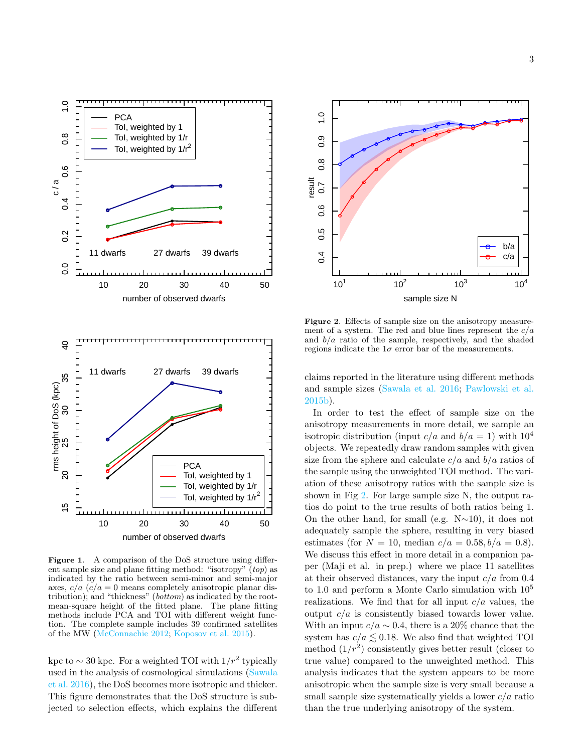

<span id="page-2-0"></span>Figure 1. A comparison of the DoS structure using different sample size and plane fitting method: "isotropy" (top) as indicated by the ratio between semi-minor and semi-major axes,  $c/a$  ( $c/a = 0$  means completely anisotropic planar distribution); and "thickness" (bottom) as indicated by the rootmean-square height of the fitted plane. The plane fitting methods include PCA and TOI with different weight function. The complete sample includes 39 confirmed satellites of the MW [\(McConnachie](#page-6-5) [2012;](#page-6-5) [Koposov et al.](#page-6-6) [2015\)](#page-6-6).

kpc to  $\sim 30$  kpc. For a weighted TOI with  $1/r^2$  typically used in the analysis of cosmological simulations [\(Sawala](#page-6-13) [et al.](#page-6-13) [2016\)](#page-6-13), the DoS becomes more isotropic and thicker. This figure demonstrates that the DoS structure is subjected to selection effects, which explains the different



<span id="page-2-1"></span>Figure 2. Effects of sample size on the anisotropy measurement of a system. The red and blue lines represent the  $c/a$ and  $b/a$  ratio of the sample, respectively, and the shaded regions indicate the  $1\sigma$  error bar of the measurements.

claims reported in the literature using different methods and sample sizes [\(Sawala et al.](#page-6-13) [2016;](#page-6-13) [Pawlowski et al.](#page-6-7) [2015b\)](#page-6-7).

In order to test the effect of sample size on the anisotropy measurements in more detail, we sample an isotropic distribution (input  $c/a$  and  $b/a = 1$ ) with  $10<sup>4</sup>$ objects. We repeatedly draw random samples with given size from the sphere and calculate  $c/a$  and  $b/a$  ratios of the sample using the unweighted TOI method. The variation of these anisotropy ratios with the sample size is shown in Fig [2.](#page-2-1) For large sample size N, the output ratios do point to the true results of both ratios being 1. On the other hand, for small (e.g. N∼10), it does not adequately sample the sphere, resulting in very biased estimates (for  $N = 10$ , median  $c/a = 0.58, b/a = 0.8$ ). We discuss this effect in more detail in a companion paper (Maji et al. in prep.) where we place 11 satellites at their observed distances, vary the input  $c/a$  from 0.4 to 1.0 and perform a Monte Carlo simulation with 10<sup>5</sup> realizations. We find that for all input  $c/a$  values, the output  $c/a$  is consistently biased towards lower value. With an input  $c/a \sim 0.4$ , there is a 20% chance that the system has  $c/a \lesssim 0.18$ . We also find that weighted TOI method  $(1/r^2)$  consistently gives better result (closer to true value) compared to the unweighted method. This analysis indicates that the system appears to be more anisotropic when the sample size is very small because a small sample size systematically yields a lower  $c/a$  ratio than the true underlying anisotropy of the system.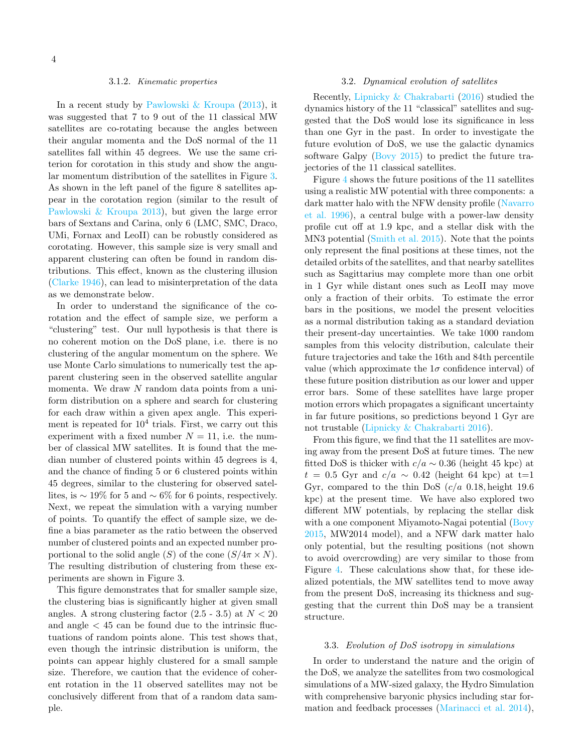# 3.1.2. Kinematic properties

In a recent study by [Pawlowski & Kroupa](#page-6-3) [\(2013\)](#page-6-3), it was suggested that 7 to 9 out of the 11 classical MW satellites are co-rotating because the angles between their angular momenta and the DoS normal of the 11 satellites fall within 45 degrees. We use the same criterion for corotation in this study and show the angular momentum distribution of the satellites in Figure [3.](#page-4-0) As shown in the left panel of the figure 8 satellites appear in the corotation region (similar to the result of [Pawlowski & Kroupa](#page-6-3) [2013\)](#page-6-3), but given the large error bars of Sextans and Carina, only 6 (LMC, SMC, Draco, UMi, Fornax and LeoII) can be robustly considered as corotating. However, this sample size is very small and apparent clustering can often be found in random distributions. This effect, known as the clustering illusion [\(Clarke](#page-6-26) [1946\)](#page-6-26), can lead to misinterpretation of the data as we demonstrate below.

In order to understand the significance of the corotation and the effect of sample size, we perform a "clustering" test. Our null hypothesis is that there is no coherent motion on the DoS plane, i.e. there is no clustering of the angular momentum on the sphere. We use Monte Carlo simulations to numerically test the apparent clustering seen in the observed satellite angular momenta. We draw N random data points from a uniform distribution on a sphere and search for clustering for each draw within a given apex angle. This experiment is repeated for  $10^4$  trials. First, we carry out this experiment with a fixed number  $N = 11$ , i.e. the number of classical MW satellites. It is found that the median number of clustered points within 45 degrees is 4, and the chance of finding 5 or 6 clustered points within 45 degrees, similar to the clustering for observed satellites, is  $\sim$  19% for 5 and  $\sim$  6% for 6 points, respectively. Next, we repeat the simulation with a varying number of points. To quantify the effect of sample size, we define a bias parameter as the ratio between the observed number of clustered points and an expected number proportional to the solid angle  $(S)$  of the cone  $(S/4\pi \times N)$ . The resulting distribution of clustering from these experiments are shown in Figure 3.

This figure demonstrates that for smaller sample size, the clustering bias is significantly higher at given small angles. A strong clustering factor  $(2.5 - 3.5)$  at  $N < 20$ and angle  $\lt$  45 can be found due to the intrinsic fluctuations of random points alone. This test shows that, even though the intrinsic distribution is uniform, the points can appear highly clustered for a small sample size. Therefore, we caution that the evidence of coherent rotation in the 11 observed satellites may not be conclusively different from that of a random data sample.

## 3.2. Dynamical evolution of satellites

Recently, [Lipnicky & Chakrabarti](#page-6-27) [\(2016\)](#page-6-27) studied the dynamics history of the 11 "classical" satellites and suggested that the DoS would lose its significance in less than one Gyr in the past. In order to investigate the future evolution of DoS, we use the galactic dynamics software Galpy [\(Bovy](#page-6-20) [2015\)](#page-6-20) to predict the future trajectories of the 11 classical satellites.

Figure [4](#page-4-1) shows the future positions of the 11 satellites using a realistic MW potential with three components: a dark matter halo with the NFW density profile [\(Navarro](#page-6-22) [et al.](#page-6-22) [1996\)](#page-6-22), a central bulge with a power-law density profile cut off at 1.9 kpc, and a stellar disk with the MN3 potential [\(Smith et al.](#page-6-21) [2015\)](#page-6-21). Note that the points only represent the final positions at these times, not the detailed orbits of the satellites, and that nearby satellites such as Sagittarius may complete more than one orbit in 1 Gyr while distant ones such as LeoII may move only a fraction of their orbits. To estimate the error bars in the positions, we model the present velocities as a normal distribution taking as a standard deviation their present-day uncertainties. We take 1000 random samples from this velocity distribution, calculate their future trajectories and take the 16th and 84th percentile value (which approximate the  $1\sigma$  confidence interval) of these future position distribution as our lower and upper error bars. Some of these satellites have large proper motion errors which propagates a significant uncertainty in far future positions, so predictions beyond 1 Gyr are not trustable [\(Lipnicky & Chakrabarti](#page-6-27) [2016\)](#page-6-27).

From this figure, we find that the 11 satellites are moving away from the present DoS at future times. The new fitted DoS is thicker with  $c/a \sim 0.36$  (height 45 kpc) at  $t = 0.5$  Gyr and  $c/a \sim 0.42$  (height 64 kpc) at t=1 Gyr, compared to the thin DoS  $(c/a \ 0.18)$ , height 19.6 kpc) at the present time. We have also explored two different MW potentials, by replacing the stellar disk with a one component Miyamoto-Nagai potential [\(Bovy](#page-6-20) [2015,](#page-6-20) MW2014 model), and a NFW dark matter halo only potential, but the resulting positions (not shown to avoid overcrowding) are very similar to those from Figure [4.](#page-4-1) These calculations show that, for these idealized potentials, the MW satellites tend to move away from the present DoS, increasing its thickness and suggesting that the current thin DoS may be a transient structure.

### 3.3. Evolution of DoS isotropy in simulations

In order to understand the nature and the origin of the DoS, we analyze the satellites from two cosmological simulations of a MW-sized galaxy, the Hydro Simulation with comprehensive baryonic physics including star formation and feedback processes [\(Marinacci et al.](#page-6-24) [2014\)](#page-6-24),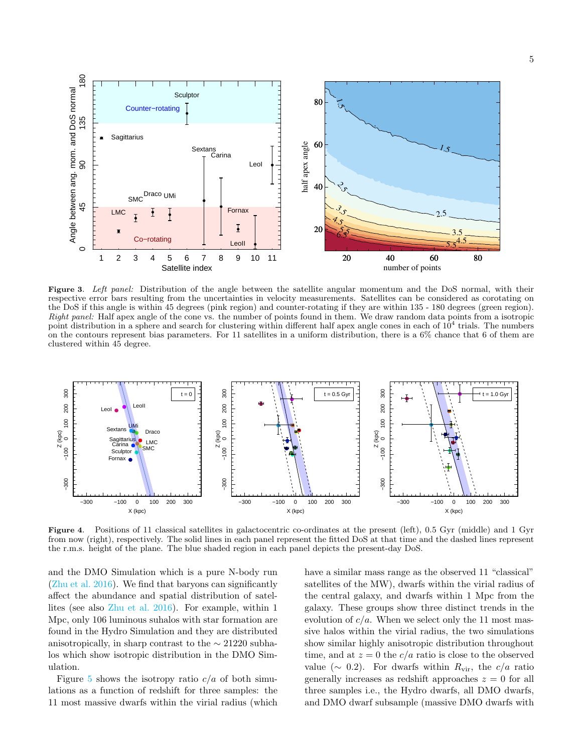

<span id="page-4-0"></span>Figure 3. Left panel: Distribution of the angle between the satellite angular momentum and the DoS normal, with their respective error bars resulting from the uncertainties in velocity measurements. Satellites can be considered as corotating on the DoS if this angle is within 45 degrees (pink region) and counter-rotating if they are within 135 - 180 degrees (green region). Right panel: Half apex angle of the cone vs. the number of points found in them. We draw random data points from a isotropic point distribution in a sphere and search for clustering within different half apex angle cones in each of  $10^4$  trials. The numbers on the contours represent bias parameters. For 11 satellites in a uniform distribution, there is a  $6\%$  chance that 6 of them are clustered within 45 degree.



<span id="page-4-1"></span>Figure 4. Positions of 11 classical satellites in galactocentric co-ordinates at the present (left), 0.5 Gyr (middle) and 1 Gyr from now (right), respectively. The solid lines in each panel represent the fitted DoS at that time and the dashed lines represent the r.m.s. height of the plane. The blue shaded region in each panel depicts the present-day DoS.

and the DMO Simulation which is a pure N-body run [\(Zhu et al.](#page-7-0) [2016\)](#page-7-0). We find that baryons can significantly affect the abundance and spatial distribution of satellites (see also [Zhu et al.](#page-7-0) [2016\)](#page-7-0). For example, within 1 Mpc, only 106 luminous suhalos with star formation are found in the Hydro Simulation and they are distributed anisotropically, in sharp contrast to the  $\sim$  21220 subhalos which show isotropic distribution in the DMO Simulation.

Figure [5](#page-5-0) shows the isotropy ratio  $c/a$  of both simulations as a function of redshift for three samples: the 11 most massive dwarfs within the virial radius (which have a similar mass range as the observed 11 "classical" satellites of the MW), dwarfs within the virial radius of the central galaxy, and dwarfs within 1 Mpc from the galaxy. These groups show three distinct trends in the evolution of  $c/a$ . When we select only the 11 most massive halos within the virial radius, the two simulations show similar highly anisotropic distribution throughout time, and at  $z = 0$  the  $c/a$  ratio is close to the observed value ( $\sim$  0.2). For dwarfs within  $R_{\rm vir}$ , the  $c/a$  ratio generally increases as redshift approaches  $z = 0$  for all three samples i.e., the Hydro dwarfs, all DMO dwarfs, and DMO dwarf subsample (massive DMO dwarfs with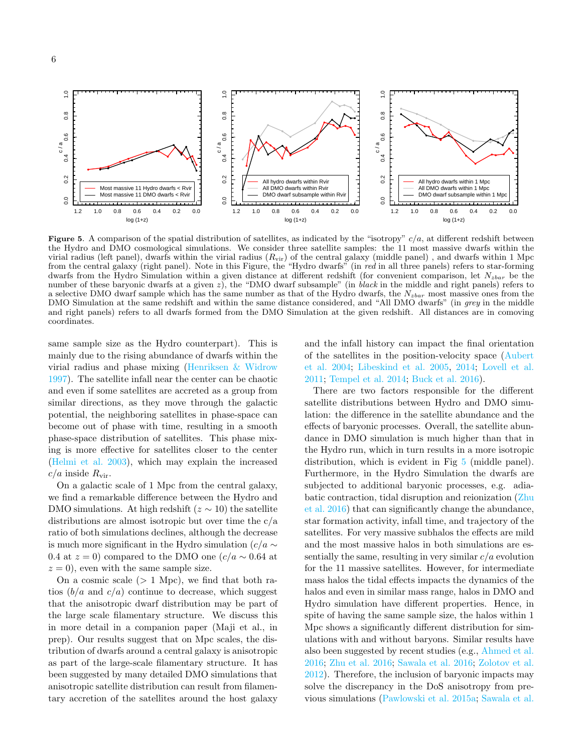

<span id="page-5-0"></span>Figure 5. A comparison of the spatial distribution of satellites, as indicated by the "isotropy"  $c/a$ , at different redshift between the Hydro and DMO cosmological simulations. We consider three satellite samples: the 11 most massive dwarfs within the virial radius (left panel), dwarfs within the virial radius  $(R_{\rm vir})$  of the central galaxy (middle panel), and dwarfs within 1 Mpc from the central galaxy (right panel). Note in this Figure, the "Hydro dwarfs" (in red in all three panels) refers to star-forming dwarfs from the Hydro Simulation within a given distance at different redshift (for convenient comparison, let  $N_{zbar}$  be the number of these baryonic dwarfs at a given z), the "DMO dwarf subsample" (in black in the middle and right panels) refers to a selective DMO dwarf sample which has the same number as that of the Hydro dwarfs, the  $N_{zbar}$  most massive ones from the DMO Simulation at the same redshift and within the same distance considered, and "All DMO dwarfs" (in grey in the middle and right panels) refers to all dwarfs formed from the DMO Simulation at the given redshift. All distances are in comoving coordinates.

same sample size as the Hydro counterpart). This is mainly due to the rising abundance of dwarfs within the virial radius and phase mixing [\(Henriksen & Widrow](#page-6-28) [1997\)](#page-6-28). The satellite infall near the center can be chaotic and even if some satellites are accreted as a group from similar directions, as they move through the galactic potential, the neighboring satellites in phase-space can become out of phase with time, resulting in a smooth phase-space distribution of satellites. This phase mixing is more effective for satellites closer to the center [\(Helmi et al.](#page-6-29) [2003\)](#page-6-29), which may explain the increased  $c/a$  inside  $R_{\rm vir}$ .

On a galactic scale of 1 Mpc from the central galaxy, we find a remarkable difference between the Hydro and DMO simulations. At high redshift  $(z \sim 10)$  the satellite distributions are almost isotropic but over time the c/a ratio of both simulations declines, although the decrease is much more significant in the Hydro simulation ( $c/a \sim$ 0.4 at  $z = 0$ ) compared to the DMO one  $(c/a \sim 0.64$  at  $z = 0$ , even with the same sample size.

On a cosmic scale  $(> 1$  Mpc), we find that both ratios  $(b/a \text{ and } c/a)$  continue to decrease, which suggest that the anisotropic dwarf distribution may be part of the large scale filamentary structure. We discuss this in more detail in a companion paper (Maji et al., in prep). Our results suggest that on Mpc scales, the distribution of dwarfs around a central galaxy is anisotropic as part of the large-scale filamentary structure. It has been suggested by many detailed DMO simulations that anisotropic satellite distribution can result from filamentary accretion of the satellites around the host galaxy

and the infall history can impact the final orientation of the satellites in the position-velocity space [\(Aubert](#page-6-30) [et al.](#page-6-30) [2004;](#page-6-30) [Libeskind et al.](#page-6-31) [2005,](#page-6-31) [2014;](#page-6-32) [Lovell et al.](#page-6-33) [2011;](#page-6-33) [Tempel et al.](#page-7-1) [2014;](#page-7-1) [Buck et al.](#page-6-12) [2016\)](#page-6-12).

There are two factors responsible for the different satellite distributions between Hydro and DMO simulation: the difference in the satellite abundance and the effects of baryonic processes. Overall, the satellite abundance in DMO simulation is much higher than that in the Hydro run, which in turn results in a more isotropic distribution, which is evident in Fig [5](#page-5-0) (middle panel). Furthermore, in the Hydro Simulation the dwarfs are subjected to additional baryonic processes, e.g. adiabatic contraction, tidal disruption and reionization [\(Zhu](#page-7-0) [et al.](#page-7-0) [2016\)](#page-7-0) that can significantly change the abundance, star formation activity, infall time, and trajectory of the satellites. For very massive subhalos the effects are mild and the most massive halos in both simulations are essentially the same, resulting in very similar  $c/a$  evolution for the 11 massive satellites. However, for intermediate mass halos the tidal effects impacts the dynamics of the halos and even in similar mass range, halos in DMO and Hydro simulation have different properties. Hence, in spite of having the same sample size, the halos within 1 Mpc shows a significantly different distribution for simulations with and without baryons. Similar results have also been suggested by recent studies (e.g., [Ahmed et al.](#page-6-34) [2016;](#page-6-34) [Zhu et al.](#page-7-0) [2016;](#page-7-0) [Sawala et al.](#page-6-13) [2016;](#page-6-13) [Zolotov et al.](#page-7-2) [2012\)](#page-7-2). Therefore, the inclusion of baryonic impacts may solve the discrepancy in the DoS anisotropy from previous simulations [\(Pawlowski et al.](#page-6-4) [2015a;](#page-6-4) [Sawala et al.](#page-6-13)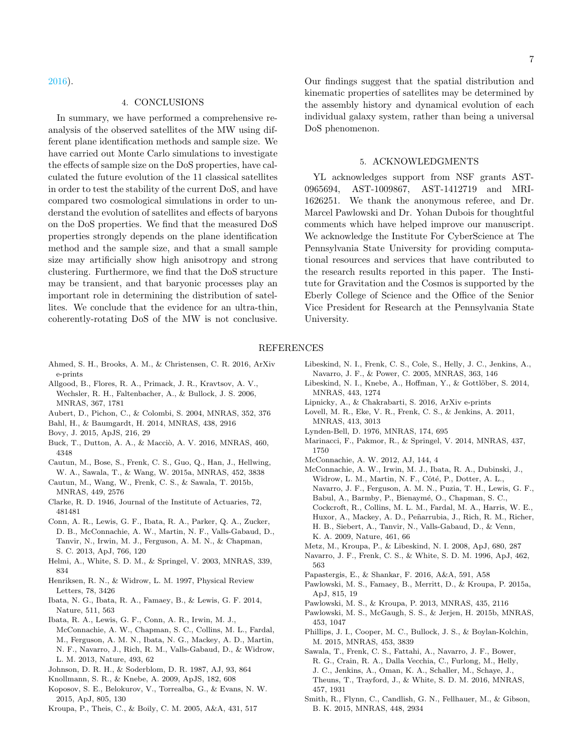[2016\)](#page-6-13).

## 4. CONCLUSIONS

In summary, we have performed a comprehensive reanalysis of the observed satellites of the MW using different plane identification methods and sample size. We have carried out Monte Carlo simulations to investigate the effects of sample size on the DoS properties, have calculated the future evolution of the 11 classical satellites in order to test the stability of the current DoS, and have compared two cosmological simulations in order to understand the evolution of satellites and effects of baryons on the DoS properties. We find that the measured DoS properties strongly depends on the plane identification method and the sample size, and that a small sample size may artificially show high anisotropy and strong clustering. Furthermore, we find that the DoS structure may be transient, and that baryonic processes play an important role in determining the distribution of satellites. We conclude that the evidence for an ultra-thin, coherently-rotating DoS of the MW is not conclusive.

Our findings suggest that the spatial distribution and kinematic properties of satellites may be determined by the assembly history and dynamical evolution of each individual galaxy system, rather than being a universal DoS phenomenon.

# 5. ACKNOWLEDGMENTS

YL acknowledges support from NSF grants AST-0965694, AST-1009867, AST-1412719 and MRI-1626251. We thank the anonymous referee, and Dr. Marcel Pawlowski and Dr. Yohan Dubois for thoughtful comments which have helped improve our manuscript. We acknowledge the Institute For CyberScience at The Pennsylvania State University for providing computational resources and services that have contributed to the research results reported in this paper. The Institute for Gravitation and the Cosmos is supported by the Eberly College of Science and the Office of the Senior Vice President for Research at the Pennsylvania State University.

#### REFERENCES

- <span id="page-6-34"></span>Ahmed, S. H., Brooks, A. M., & Christensen, C. R. 2016, ArXiv e-prints
- <span id="page-6-19"></span>Allgood, B., Flores, R. A., Primack, J. R., Kravtsov, A. V., Wechsler, R. H., Faltenbacher, A., & Bullock, J. S. 2006, MNRAS, 367, 1781
- <span id="page-6-30"></span>Aubert, D., Pichon, C., & Colombi, S. 2004, MNRAS, 352, 376
- <span id="page-6-15"></span>Bahl, H., & Baumgardt, H. 2014, MNRAS, 438, 2916
- <span id="page-6-20"></span>Bovy, J. 2015, ApJS, 216, 29
- <span id="page-6-12"></span>Buck, T., Dutton, A. A., & Macciò, A. V. 2016, MNRAS, 460, 4348
- <span id="page-6-16"></span>Cautun, M., Bose, S., Frenk, C. S., Guo, Q., Han, J., Hellwing, W. A., Sawala, T., & Wang, W. 2015a, MNRAS, 452, 3838
- <span id="page-6-17"></span>Cautun, M., Wang, W., Frenk, C. S., & Sawala, T. 2015b, MNRAS, 449, 2576
- <span id="page-6-26"></span>Clarke, R. D. 1946, Journal of the Institute of Actuaries, 72, 481481
- <span id="page-6-9"></span>Conn, A. R., Lewis, G. F., Ibata, R. A., Parker, Q. A., Zucker, D. B., McConnachie, A. W., Martin, N. F., Valls-Gabaud, D., Tanvir, N., Irwin, M. J., Ferguson, A. M. N., & Chapman, S. C. 2013, ApJ, 766, 120
- <span id="page-6-29"></span>Helmi, A., White, S. D. M., & Springel, V. 2003, MNRAS, 339, 834
- <span id="page-6-28"></span>Henriksen, R. N., & Widrow, L. M. 1997, Physical Review Letters, 78, 3426
- <span id="page-6-11"></span>Ibata, N. G., Ibata, R. A., Famaey, B., & Lewis, G. F. 2014, Nature, 511, 563
- <span id="page-6-10"></span>Ibata, R. A., Lewis, G. F., Conn, A. R., Irwin, M. J., McConnachie, A. W., Chapman, S. C., Collins, M. L., Fardal, M., Ferguson, A. M. N., Ibata, N. G., Mackey, A. D., Martin, N. F., Navarro, J., Rich, R. M., Valls-Gabaud, D., & Widrow, L. M. 2013, Nature, 493, 62
- <span id="page-6-23"></span>Johnson, D. R. H., & Soderblom, D. R. 1987, AJ, 93, 864
- <span id="page-6-25"></span>Knollmann, S. R., & Knebe, A. 2009, ApJS, 182, 608
- <span id="page-6-6"></span>Koposov, S. E., Belokurov, V., Torrealba, G., & Evans, N. W. 2015, ApJ, 805, 130
- <span id="page-6-1"></span>Kroupa, P., Theis, C., & Boily, C. M. 2005, A&A, 431, 517
- <span id="page-6-31"></span>Libeskind, N. I., Frenk, C. S., Cole, S., Helly, J. C., Jenkins, A., Navarro, J. F., & Power, C. 2005, MNRAS, 363, 146
- <span id="page-6-32"></span>Libeskind, N. I., Knebe, A., Hoffman, Y., & Gottlöber, S. 2014, MNRAS, 443, 1274
- <span id="page-6-27"></span>Lipnicky, A., & Chakrabarti, S. 2016, ArXiv e-prints
- <span id="page-6-33"></span>Lovell, M. R., Eke, V. R., Frenk, C. S., & Jenkins, A. 2011, MNRAS, 413, 3013
- <span id="page-6-0"></span>Lynden-Bell, D. 1976, MNRAS, 174, 695
- <span id="page-6-24"></span>Marinacci, F., Pakmor, R., & Springel, V. 2014, MNRAS, 437, 1750
- <span id="page-6-5"></span>McConnachie, A. W. 2012, AJ, 144, 4
- <span id="page-6-8"></span>McConnachie, A. W., Irwin, M. J., Ibata, R. A., Dubinski, J., Widrow, L. M., Martin, N. F., Côté, P., Dotter, A. L., Navarro, J. F., Ferguson, A. M. N., Puzia, T. H., Lewis, G. F., Babul, A., Barmby, P., Bienaymé, O., Chapman, S. C., Cockcroft, R., Collins, M. L. M., Fardal, M. A., Harris, W. E., Huxor, A., Mackey, A. D., Peñarrubia, J., Rich, R. M., Richer, H. B., Siebert, A., Tanvir, N., Valls-Gabaud, D., & Venn, K. A. 2009, Nature, 461, 66
- <span id="page-6-2"></span>Metz, M., Kroupa, P., & Libeskind, N. I. 2008, ApJ, 680, 287
- <span id="page-6-22"></span>Navarro, J. F., Frenk, C. S., & White, S. D. M. 1996, ApJ, 462, 563
- <span id="page-6-14"></span>Papastergis, E., & Shankar, F. 2016, A&A, 591, A58
- <span id="page-6-4"></span>Pawlowski, M. S., Famaey, B., Merritt, D., & Kroupa, P. 2015a, ApJ, 815, 19
- <span id="page-6-3"></span>Pawlowski, M. S., & Kroupa, P. 2013, MNRAS, 435, 2116
- <span id="page-6-7"></span>Pawlowski, M. S., McGaugh, S. S., & Jerjen, H. 2015b, MNRAS, 453, 1047
- <span id="page-6-18"></span>Phillips, J. I., Cooper, M. C., Bullock, J. S., & Boylan-Kolchin, M. 2015, MNRAS, 453, 3839
- <span id="page-6-13"></span>Sawala, T., Frenk, C. S., Fattahi, A., Navarro, J. F., Bower, R. G., Crain, R. A., Dalla Vecchia, C., Furlong, M., Helly, J. C., Jenkins, A., Oman, K. A., Schaller, M., Schaye, J., Theuns, T., Trayford, J., & White, S. D. M. 2016, MNRAS, 457, 1931
- <span id="page-6-21"></span>Smith, R., Flynn, C., Candlish, G. N., Fellhauer, M., & Gibson, B. K. 2015, MNRAS, 448, 2934